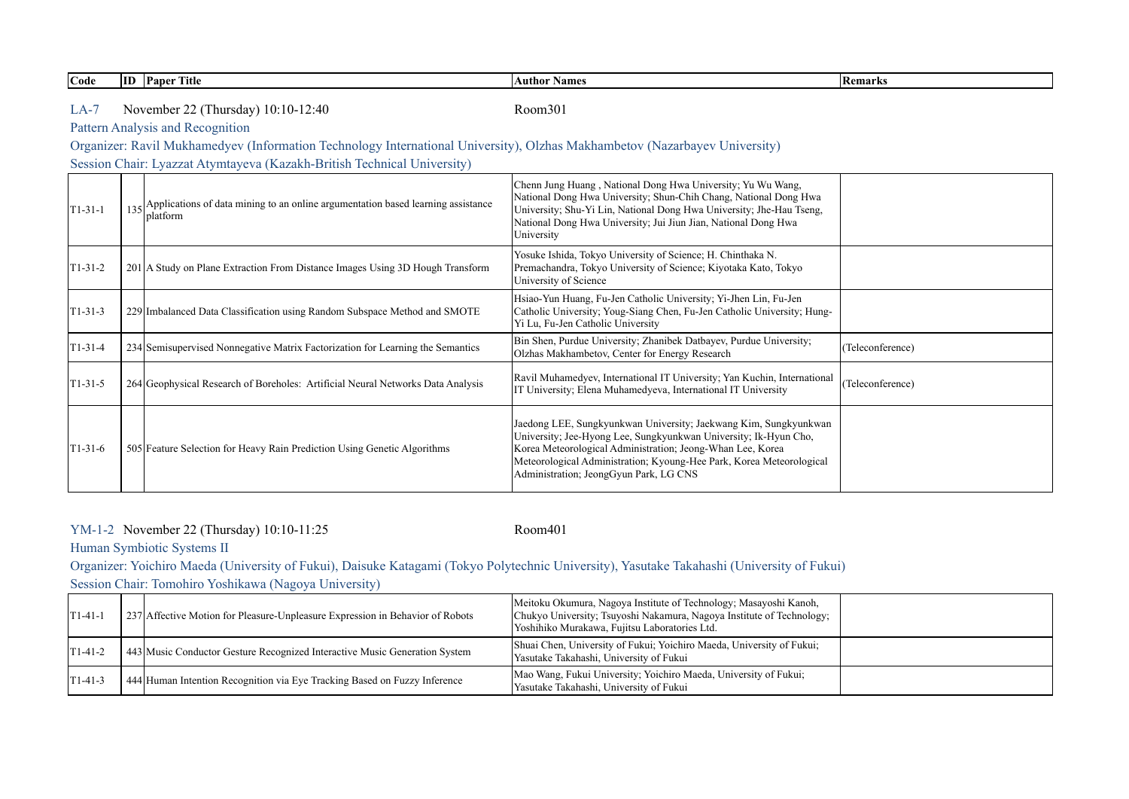| Code | Ш | Pape<br><br>Title | Names<br>Author | າລາ<br>чаг. |
|------|---|-------------------|-----------------|-------------|

LA-7 Room301 November 22 (Thursday) 10:10-12:40

Pattern Analysis and Recognition

## Organizer: Ravil Mukhamedyev (Information Technology International University), Olzhas Makhambetov (Nazarbayev University)

Session Chair: Lyazzat Atymtayeva (Kazakh-British Technical University)

| $TI-31-1$   | 135 Applications of data mining to an online argumentation based learning assistance<br>platform | Chenn Jung Huang, National Dong Hwa University; Yu Wu Wang,<br>National Dong Hwa University; Shun-Chih Chang, National Dong Hwa<br>University; Shu-Yi Lin, National Dong Hwa University; Jhe-Hau Tseng,<br>National Dong Hwa University; Jui Jiun Jian, National Dong Hwa<br>University                              |                  |
|-------------|--------------------------------------------------------------------------------------------------|----------------------------------------------------------------------------------------------------------------------------------------------------------------------------------------------------------------------------------------------------------------------------------------------------------------------|------------------|
| $T1-31-2$   | 201 A Study on Plane Extraction From Distance Images Using 3D Hough Transform                    | Yosuke Ishida, Tokyo University of Science; H. Chinthaka N.<br>Premachandra, Tokyo University of Science; Kiyotaka Kato, Tokyo<br>University of Science                                                                                                                                                              |                  |
| $TI-31-3$   | 229 Imbalanced Data Classification using Random Subspace Method and SMOTE                        | Hsiao-Yun Huang, Fu-Jen Catholic University; Yi-Jhen Lin, Fu-Jen<br>Catholic University; Youg-Siang Chen, Fu-Jen Catholic University; Hung-<br>Yi Lu, Fu-Jen Catholic University                                                                                                                                     |                  |
| $[T1-31-4]$ | 234 Semisupervised Nonnegative Matrix Factorization for Learning the Semantics                   | Bin Shen, Purdue University; Zhanibek Datbayev, Purdue University;<br>Olzhas Makhambetov, Center for Energy Research                                                                                                                                                                                                 | (Teleconference) |
| $[T1-31-5]$ | 264 Geophysical Research of Boreholes: Artificial Neural Networks Data Analysis                  | Ravil Muhamedyev, International IT University; Yan Kuchin, International<br>IT University; Elena Muhamedyeva, International IT University                                                                                                                                                                            | (Teleconference) |
| $[T1-31-6]$ | 505 Feature Selection for Heavy Rain Prediction Using Genetic Algorithms                         | Jaedong LEE, Sungkyunkwan University; Jaekwang Kim, Sungkyunkwan<br>University; Jee-Hyong Lee, Sungkyunkwan University; Ik-Hyun Cho,<br>Korea Meteorological Administration; Jeong-Whan Lee, Korea<br>Meteorological Administration; Kyoung-Hee Park, Korea Meteorological<br>Administration; JeongGyun Park, LG CNS |                  |

YM-1-2 Room401 November 22 (Thursday) 10:10-11:25

Human Symbiotic Systems II

Organizer: Yoichiro Maeda (University of Fukui), Daisuke Katagami (Tokyo Polytechnic University), Yasutake Takahashi (University of Fukui) Session Chair: Tomohiro Yoshikawa (Nagoya University)

| $[T1-41-1]$ | 237 Affective Motion for Pleasure-Unpleasure Expression in Behavior of Robots | Meitoku Okumura, Nagoya Institute of Technology; Masayoshi Kanoh,<br>Chukyo University; Tsuyoshi Nakamura, Nagoya Institute of Technology;<br>Yoshihiko Murakawa, Fujitsu Laboratories Ltd. |  |
|-------------|-------------------------------------------------------------------------------|---------------------------------------------------------------------------------------------------------------------------------------------------------------------------------------------|--|
| $[T1-41-2]$ | 443 Music Conductor Gesture Recognized Interactive Music Generation System    | Shuai Chen, University of Fukui; Yoichiro Maeda, University of Fukui;<br>Yasutake Takahashi, University of Fukui                                                                            |  |
| T1-41-3     | 444 Human Intention Recognition via Eye Tracking Based on Fuzzy Inference     | Mao Wang, Fukui University; Yoichiro Maeda, University of Fukui;<br>Yasutake Takahashi, University of Fukui                                                                                 |  |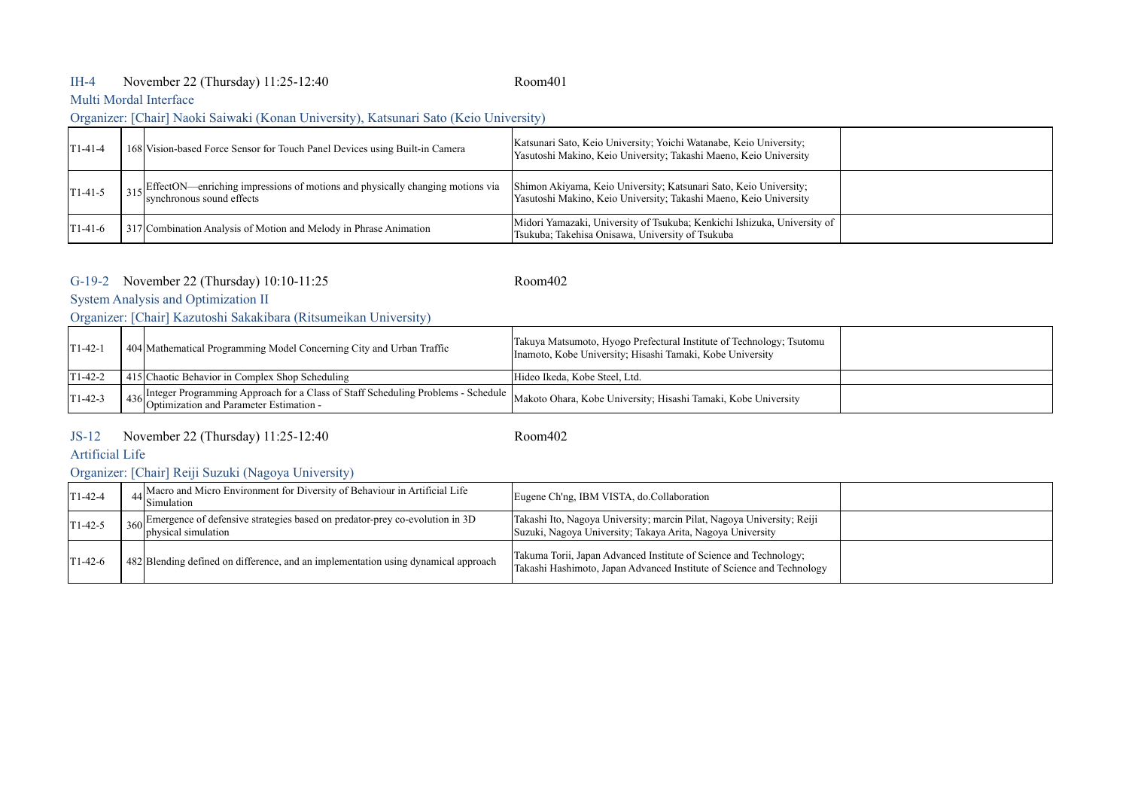## IH-4 Room401 November 22 (Thursday) 11:25-12:40

## Multi Mordal Interface

Organizer: [Chair] Naoki Saiwaki (Konan University), Katsunari Sato (Keio University)

| $[T1-41-4]$ | 168 Vision-based Force Sensor for Touch Panel Devices using Built-in Camera                                         | Katsunari Sato, Keio University; Yoichi Watanabe, Keio University;<br>Yasutoshi Makino, Keio University; Takashi Maeno, Keio University |
|-------------|---------------------------------------------------------------------------------------------------------------------|-----------------------------------------------------------------------------------------------------------------------------------------|
| $[T1-41-5]$ | $_{215}$ EffectON—enriching impressions of motions and physically changing motions via<br>synchronous sound effects | Shimon Akiyama, Keio University; Katsunari Sato, Keio University;<br>Yasutoshi Makino, Keio University; Takashi Maeno, Keio University  |
| $[T1-41-6]$ | 317 Combination Analysis of Motion and Melody in Phrase Animation                                                   | Midori Yamazaki, University of Tsukuba; Kenkichi Ishizuka, University of<br>Tsukuba; Takehisa Onisawa, University of Tsukuba            |

#### G-19-2 Room402 November 22 (Thursday) 10:10-11:25

System Analysis and Optimization II

Organizer: [Chair] Kazutoshi Sakakibara (Ritsumeikan University)

| $[T1-42-1]$ | 404 Mathematical Programming Model Concerning City and Urban Traffic                                                                                | Takuya Matsumoto, Hyogo Prefectural Institute of Technology; Tsutomu<br>Inamoto, Kobe University; Hisashi Tamaki, Kobe University |  |
|-------------|-----------------------------------------------------------------------------------------------------------------------------------------------------|-----------------------------------------------------------------------------------------------------------------------------------|--|
| T1-42-2     | 415 Chaotic Behavior in Complex Shop Scheduling                                                                                                     | Hideo Ikeda, Kobe Steel, Ltd.                                                                                                     |  |
| $T1-42-3$   | 436 Integer Programming Approach for a Class of Staff Scheduling Problems - Schedule Makoto Ohara, Kobe University; Hisashi Tamaki, Kobe University |                                                                                                                                   |  |

#### JS-12 Room402 November 22 (Thursday) 11:25-12:40

## Artificial Life

#### Organizer: [Chair] Reiji Suzuki (Nagoya University)

| $T1-42-4$   | $_{4.4}$ Macro and Micro Environment for Diversity of Behaviour in Artificial Life<br>Simulation                   | Eugene Ch'ng, IBM VISTA, do Collaboration                                                                                                  |  |
|-------------|--------------------------------------------------------------------------------------------------------------------|--------------------------------------------------------------------------------------------------------------------------------------------|--|
| $T1-42-5$   | $\frac{1}{360}$ Emergence of defensive strategies based on predator-prey co-evolution in 3D<br>bhysical simulation | Takashi Ito, Nagoya University; marcin Pilat, Nagoya University; Reiji<br>Suzuki, Nagoya University; Takaya Arita, Nagoya University       |  |
| $[T1-42-6]$ | 482 Blending defined on difference, and an implementation using dynamical approach                                 | Takuma Torii, Japan Advanced Institute of Science and Technology;<br>Takashi Hashimoto, Japan Advanced Institute of Science and Technology |  |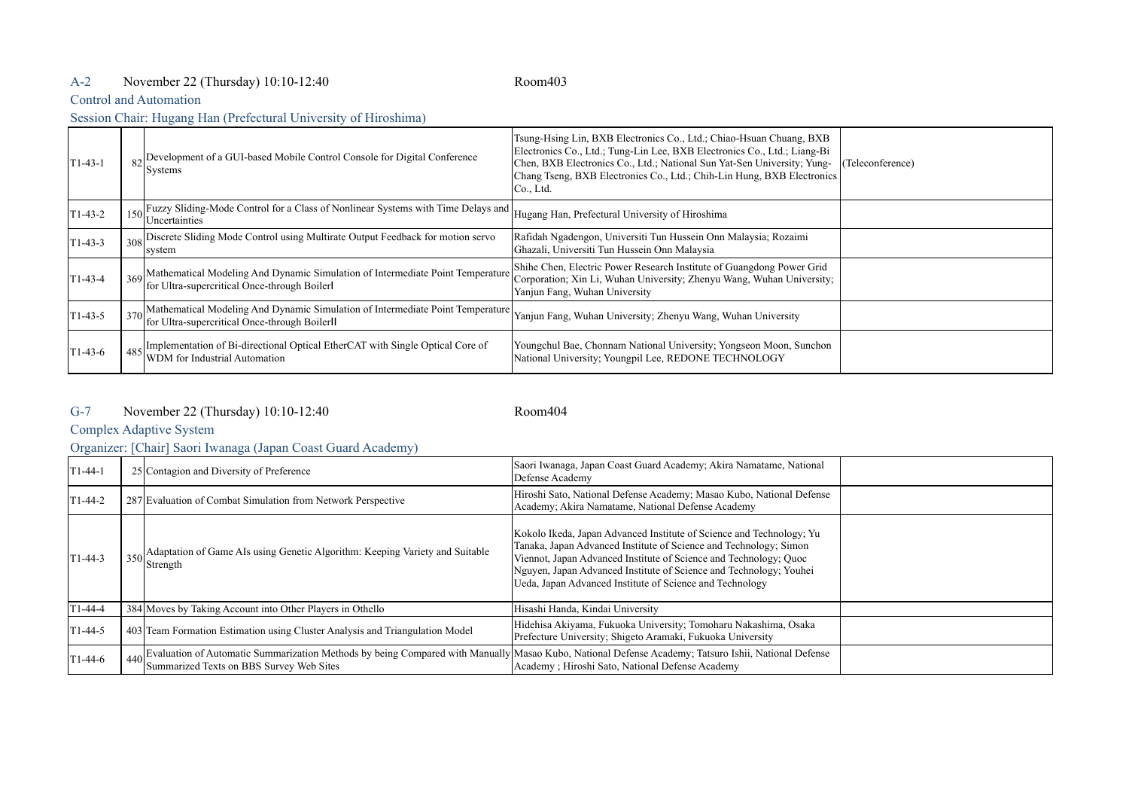## A-2 Room403 November 22 (Thursday) 10:10-12:40

## Control and Automation

## Session Chair: Hugang Han (Prefectural University of Hiroshima)

| $T1-43-1$ | $82$ Development of a GUI-based Mobile Control Console for Digital Conference<br><b>Systems</b>                                                                                                  | Tsung-Hsing Lin, BXB Electronics Co., Ltd., Chiao-Hsuan Chuang, BXB<br>Electronics Co., Ltd.; Tung-Lin Lee, BXB Electronics Co., Ltd.; Liang-Bi<br>Chen, BXB Electronics Co., Ltd.; National Sun Yat-Sen University; Yung-<br>Chang Tseng, BXB Electronics Co., Ltd.; Chih-Lin Hung, BXB Electronics<br>Co., Ltd. | (Teleconference) |
|-----------|--------------------------------------------------------------------------------------------------------------------------------------------------------------------------------------------------|-------------------------------------------------------------------------------------------------------------------------------------------------------------------------------------------------------------------------------------------------------------------------------------------------------------------|------------------|
| $T1-43-2$ | $150$ Fuzzy Sliding-Mode Control for a Class of Nonlinear Systems with Time Delays and Hugang Han, Prefectural University of Hiroshima<br><b>Incertainties</b>                                   |                                                                                                                                                                                                                                                                                                                   |                  |
| $T1-43-3$ | 308 Discrete Sliding Mode Control using Multirate Output Feedback for motion servo<br>system                                                                                                     | Rafidah Ngadengon, Universiti Tun Hussein Onn Malaysia; Rozaimi<br>Ghazali, Universiti Tun Hussein Onn Malaysia                                                                                                                                                                                                   |                  |
| T1-43-4   | 369 Mathematical Modeling And Dynamic Simulation of Intermediate Point Temperature<br>for Ultra-supercritical Once-through Boilerl                                                               | Shihe Chen, Electric Power Research Institute of Guangdong Power Grid<br>Corporation; Xin Li, Wuhan University; Zhenyu Wang, Wuhan University;<br>Yanjun Fang, Wuhan University                                                                                                                                   |                  |
| $T1-43-5$ | 370 Mathematical Modeling And Dynamic Simulation of Intermediate Point Temperature Yanjun Fang, Wuhan University; Zhenyu Wang, Wuhan University<br>for Ultra-supercritical Once-through Boilerll |                                                                                                                                                                                                                                                                                                                   |                  |
| Г1-43-6   | 485 Implementation of Bi-directional Optical EtherCAT with Single Optical Core of<br>WDM for Industrial Automation                                                                               | Youngchul Bae, Chonnam National University; Yongseon Moon, Sunchon<br>National University; Youngpil Lee, REDONE TECHNOLOGY                                                                                                                                                                                        |                  |

#### G-7 Room404 November 22 (Thursday) 10:10-12:40

## Complex Adaptive System

## Organizer: [Chair] Saori Iwanaga (Japan Coast Guard Academy)

| $[T1-44-1]$ |     | 25 Contagion and Diversity of Preference                                                                                                                                                          | Saori Iwanaga, Japan Coast Guard Academy; Akira Namatame, National<br>Defense Academy                                                                                                                                                                                                                                                            |  |
|-------------|-----|---------------------------------------------------------------------------------------------------------------------------------------------------------------------------------------------------|--------------------------------------------------------------------------------------------------------------------------------------------------------------------------------------------------------------------------------------------------------------------------------------------------------------------------------------------------|--|
| $T1-44-2$   |     | 287 Evaluation of Combat Simulation from Network Perspective                                                                                                                                      | Hiroshi Sato, National Defense Academy; Masao Kubo, National Defense<br>Academy; Akira Namatame, National Defense Academy                                                                                                                                                                                                                        |  |
| $[T1-44-3]$ | 350 | Adaptation of Game AIs using Genetic Algorithm: Keeping Variety and Suitable<br>Strength                                                                                                          | Kokolo Ikeda, Japan Advanced Institute of Science and Technology; Yu<br>Tanaka, Japan Advanced Institute of Science and Technology; Simon<br>Viennot, Japan Advanced Institute of Science and Technology; Ouoc<br>Nguyen, Japan Advanced Institute of Science and Technology; Youhei<br>Ueda, Japan Advanced Institute of Science and Technology |  |
| $[T1-44-4]$ |     | 384 Moves by Taking Account into Other Players in Othello                                                                                                                                         | Hisashi Handa, Kindai University                                                                                                                                                                                                                                                                                                                 |  |
| $[T1-44-5]$ |     | 403 Team Formation Estimation using Cluster Analysis and Triangulation Model                                                                                                                      | Hidehisa Akiyama, Fukuoka University; Tomoharu Nakashima, Osaka<br>Prefecture University; Shigeto Aramaki, Fukuoka University                                                                                                                                                                                                                    |  |
| $T1-44-6$   | 440 | Evaluation of Automatic Summarization Methods by being Compared with Manually Masao Kubo, National Defense Academy; Tatsuro Ishii, National Defense (<br>Summarized Texts on BBS Survey Web Sites | Academy ; Hiroshi Sato, National Defense Academy                                                                                                                                                                                                                                                                                                 |  |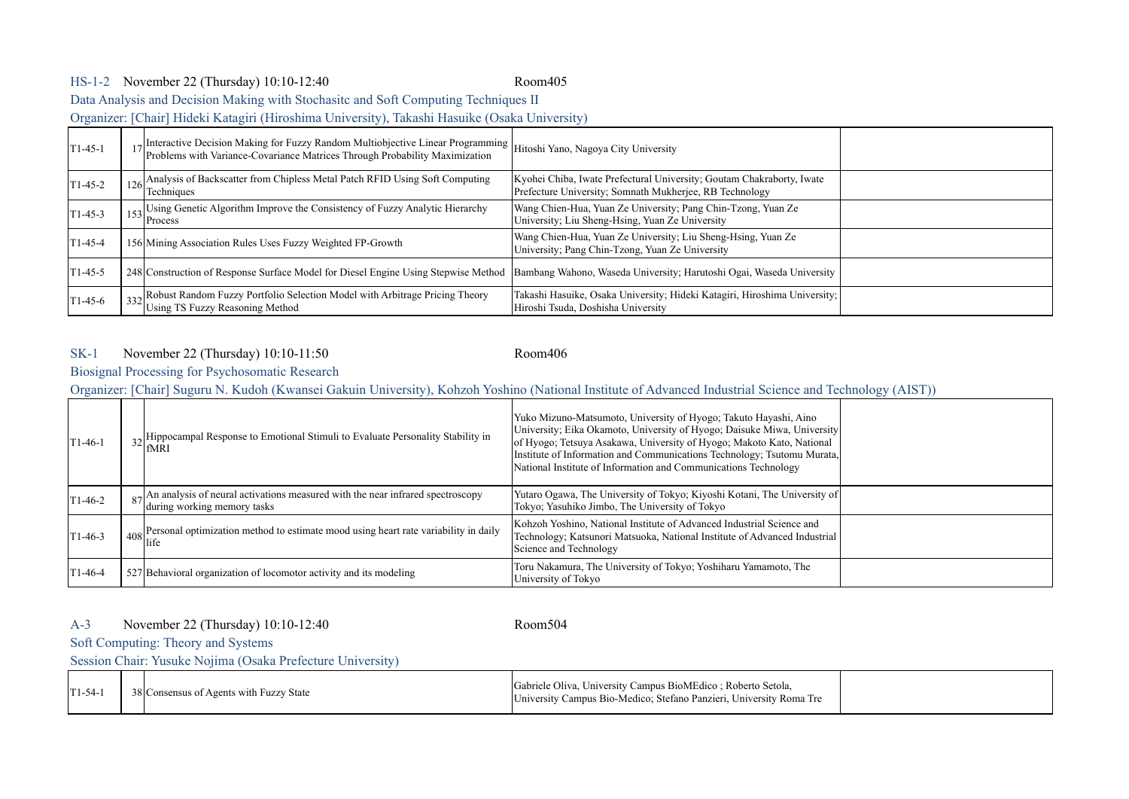## HS-1-2 Room405 November 22 (Thursday) 10:10-12:40

Data Analysis and Decision Making with Stochasitc and Soft Computing Techniques II

Organizer: [Chair] Hideki Katagiri (Hiroshima University), Takashi Hasuike (Osaka University)

| $[T1-45-1]$ | Interactive Decision Making for Fuzzy Random Multiobjective Linear Programming Hitoshi Yano, Nagoya City University<br>Problems with Variance-Covariance Matrices Through Probability Maximization |                                                                                                                                  |  |
|-------------|----------------------------------------------------------------------------------------------------------------------------------------------------------------------------------------------------|----------------------------------------------------------------------------------------------------------------------------------|--|
| $T1-45-2$   | Analysis of Backscatter from Chipless Metal Patch RFID Using Soft Computing<br>Techniques                                                                                                          | Kyohei Chiba, Iwate Prefectural University; Goutam Chakraborty, Iwate<br>Prefecture University; Somnath Mukherjee, RB Technology |  |
| $[T1-45-3]$ | 153 Using Genetic Algorithm Improve the Consistency of Fuzzy Analytic Hierarchy<br>Process                                                                                                         | Wang Chien-Hua, Yuan Ze University, Pang Chin-Tzong, Yuan Ze<br>University; Liu Sheng-Hsing, Yuan Ze University                  |  |
| $[T1-45-4]$ | 156 Mining Association Rules Uses Fuzzy Weighted FP-Growth                                                                                                                                         | Wang Chien-Hua, Yuan Ze University; Liu Sheng-Hsing, Yuan Ze<br>University; Pang Chin-Tzong, Yuan Ze University                  |  |
| $[T1-45-5]$ | 248 Construction of Response Surface Model for Diesel Engine Using Stepwise Method                                                                                                                 | Bambang Wahono, Waseda University; Harutoshi Ogai, Waseda University                                                             |  |
| $T1-45-6$   | 332 Robust Random Fuzzy Portfolio Selection Model with Arbitrage Pricing Theory<br>Using TS Fuzzy Reasoning Method                                                                                 | Takashi Hasuike, Osaka University; Hideki Katagiri, Hiroshima University;<br>Hiroshi Tsuda, Doshisha University                  |  |

## SK-1 Room406 November 22 (Thursday) 10:10-11:50

## Biosignal Processing for Psychosomatic Research

Organizer: [Chair] Suguru N. Kudoh (Kwansei Gakuin University), Kohzoh Yoshino (National Institute of Advanced Industrial Science and Technology (AIST))

| $T1-46-1$ | $32$ Hippocampal Response to Emotional Stimuli to Evaluate Personality Stability in $fMRI$                                   | Yuko Mizuno-Matsumoto, University of Hyogo; Takuto Hayashi, Aino<br>University; Eika Okamoto, University of Hyogo; Daisuke Miwa, University<br>of Hyogo; Tetsuya Asakawa, University of Hyogo; Makoto Kato, National<br>Institute of Information and Communications Technology; Tsutomu Murata,<br>National Institute of Information and Communications Technology |  |
|-----------|------------------------------------------------------------------------------------------------------------------------------|--------------------------------------------------------------------------------------------------------------------------------------------------------------------------------------------------------------------------------------------------------------------------------------------------------------------------------------------------------------------|--|
| $T1-46-2$ | $87$ An analysis of neural activations measured with the near infrared spectroscopy<br>during working memory tasks           | Yutaro Ogawa, The University of Tokyo; Kiyoshi Kotani, The University of<br>Tokyo; Yasuhiko Jimbo, The University of Tokyo                                                                                                                                                                                                                                         |  |
| $T1-46-3$ | $\left[ \frac{1}{408} \right]$ Personal optimization method to estimate mood using heart rate variability in daily<br>'llife | Kohzoh Yoshino, National Institute of Advanced Industrial Science and<br>Technology; Katsunori Matsuoka, National Institute of Advanced Industrial<br>Science and Technology                                                                                                                                                                                       |  |
| $T1-46-4$ | 527 Behavioral organization of locomotor activity and its modeling                                                           | Toru Nakamura, The University of Tokyo; Yoshiharu Yamamoto, The<br>University of Tokyo                                                                                                                                                                                                                                                                             |  |

#### A-3 Room504 November 22 (Thursday) 10:10-12:40

Soft Computing: Theory and Systems

Session Chair: Yusuke Nojima (Osaka Prefecture University)

| Gabriele Oliva, University Campus BioMEdico; Roberto Setola,<br>$\text{T}1-54$<br>38 Consensus of Agents with Fuzzy State<br>University Campus Bio-Medico; Stefano Panzieri, University Roma Tre |  |
|--------------------------------------------------------------------------------------------------------------------------------------------------------------------------------------------------|--|
|--------------------------------------------------------------------------------------------------------------------------------------------------------------------------------------------------|--|